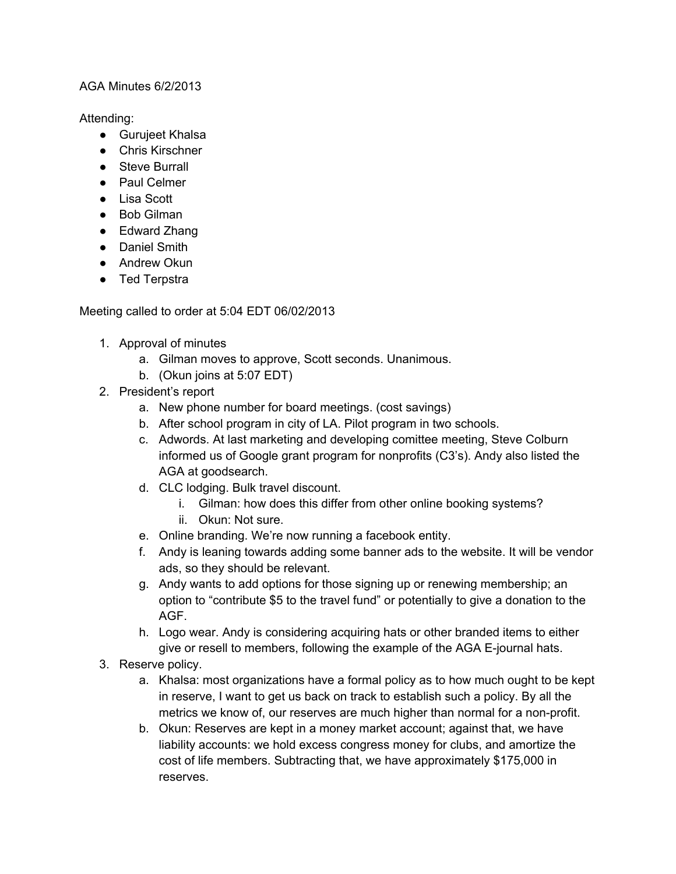## AGA Minutes 6/2/2013

Attending:

- Gurujeet Khalsa
- Chris Kirschner
- Steve Burrall
- Paul Celmer
- Lisa Scott
- Bob Gilman
- Edward Zhang
- Daniel Smith
- Andrew Okun
- Ted Terpstra

Meeting called to order at 5:04 EDT 06/02/2013

- 1. Approval of minutes
	- a. Gilman moves to approve, Scott seconds. Unanimous.
	- b. (Okun joins at 5:07 EDT)
- 2. President's report
	- a. New phone number for board meetings. (cost savings)
	- b. After school program in city of LA. Pilot program in two schools.
	- c. Adwords. At last marketing and developing comittee meeting, Steve Colburn informed us of Google grant program for nonprofits (C3's). Andy also listed the AGA at goodsearch.
	- d. CLC lodging. Bulk travel discount.
		- i. Gilman: how does this differ from other online booking systems?
		- ii. Okun: Not sure.
	- e. Online branding. We're now running a facebook entity.
	- f. Andy is leaning towards adding some banner ads to the website. It will be vendor ads, so they should be relevant.
	- g. Andy wants to add options for those signing up or renewing membership; an option to "contribute \$5 to the travel fund" or potentially to give a donation to the AGF.
	- h. Logo wear. Andy is considering acquiring hats or other branded items to either give or resell to members, following the example of the AGA E-journal hats.
- 3. Reserve policy.
	- a. Khalsa: most organizations have a formal policy as to how much ought to be kept in reserve, I want to get us back on track to establish such a policy. By all the metrics we know of, our reserves are much higher than normal for a non-profit.
	- b. Okun: Reserves are kept in a money market account; against that, we have liability accounts: we hold excess congress money for clubs, and amortize the cost of life members. Subtracting that, we have approximately \$175,000 in reserves.